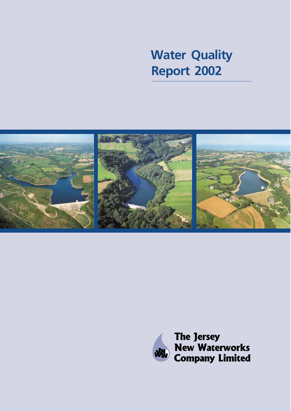# **Water Quality Report 2002**



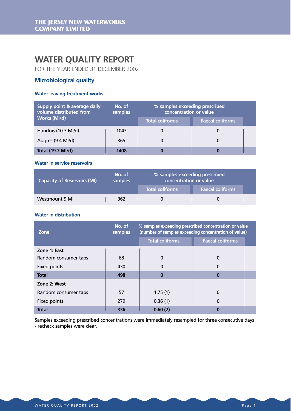### **WATER QUALITY REPORT**

FOR THE YEAR ENDED 31 DECEMBER 2002

### **Microbiological quality**

### **Water leaving treatment works**

| Supply point & average daily<br>volume distributed from | No. of<br>samples | % samples exceeding prescribed<br>concentration or value |                         |  |  |
|---------------------------------------------------------|-------------------|----------------------------------------------------------|-------------------------|--|--|
| Works (Ml/d)                                            |                   | <b>Total coliforms</b>                                   | <b>Faecal coliforms</b> |  |  |
| Handois (10.3 Ml/d)                                     | 1043              |                                                          | O                       |  |  |
| Augres (9.4 Ml/d)                                       | 365               |                                                          | 0                       |  |  |
| <b>Total (19.7 Ml/d)</b>                                | 1408              |                                                          |                         |  |  |

#### **Water in service reservoirs**

| <b>Capacity of Reservoirs (MI)</b> | No. of<br>samples | % samples exceeding prescribed<br>concentration or value |                         |  |  |  |
|------------------------------------|-------------------|----------------------------------------------------------|-------------------------|--|--|--|
|                                    |                   | <b>Total coliforms</b>                                   | <b>Faecal coliforms</b> |  |  |  |
| Westmount 9 MI                     | 362               |                                                          |                         |  |  |  |

### **Water in distribution**

| Zone                 | No. of<br>samples | % samples exceeding prescribed concentration or value<br>(number of samples exceeding concentration of value) |                         |  |  |  |
|----------------------|-------------------|---------------------------------------------------------------------------------------------------------------|-------------------------|--|--|--|
|                      |                   | Total coliforms                                                                                               | <b>Faecal coliforms</b> |  |  |  |
| Zone 1: East         |                   |                                                                                                               |                         |  |  |  |
| Random consumer taps | 68                | $\mathbf 0$                                                                                                   | 0                       |  |  |  |
| Fixed points         | 430               | $\Omega$                                                                                                      | $\Omega$                |  |  |  |
| <b>Total</b>         | 498               | $\Omega$                                                                                                      | $\mathbf{0}$            |  |  |  |
| Zone 2: West         |                   |                                                                                                               |                         |  |  |  |
| Random consumer taps | 57                | 1.75(1)                                                                                                       | 0                       |  |  |  |
| Fixed points         | 279               | 0.36(1)                                                                                                       | $\Omega$                |  |  |  |
| <b>Total</b>         | 336               | 0.60(2)                                                                                                       | $\Omega$                |  |  |  |

Samples exceeding prescribed concentrations were immediately resampled for three consecutive days - recheck samples were clear.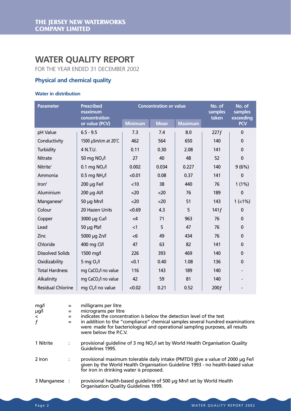## **WATER QUALITY REPORT**

FOR THE YEAR ENDED 31 DECEMBER 2002

### **Physical and chemical quality**

### **Water in distribution**

| <b>Parameter</b>         | <b>Prescribed</b><br>maximum<br>concentration |                | <b>Concentration or value</b> | No. of<br>samples<br>taken | No. of<br>samples<br>exceeding |              |  |
|--------------------------|-----------------------------------------------|----------------|-------------------------------|----------------------------|--------------------------------|--------------|--|
|                          | or value (PCV)                                | <b>Minimum</b> | <b>Mean</b>                   |                            |                                | <b>PCV</b>   |  |
| pH Value                 | $6.5 - 9.5$                                   | 7.3            | 7.4                           | 8.0                        | 227f                           | $\Omega$     |  |
| Conductivity             | 1500 µSm/cm at 20°C                           | 462            | 564                           | 650                        | 140                            | 0            |  |
| Turbidity                | 4 N.T.U.                                      | 0.11           | 0.30                          | 2.08                       | 141                            | $\Omega$     |  |
| <b>Nitrate</b>           | 50 mg NO <sub>3</sub> /l                      | 27             | 40                            | 48                         | 52                             | 0            |  |
| Nitrite <sup>1</sup>     | 0.1 mg $NO2/I$                                | 0.002          | 0.034                         | 0.227                      | 140                            | 9(6%)        |  |
| Ammonia                  | $0.5$ mg NH <sub>4</sub> /l                   | < 0.01         | 0.08                          | 0.37                       | 141                            | $\Omega$     |  |
| Iron <sup>2</sup>        | 200 µg Fe/l                                   | < 10           | 38                            | 440                        | 76                             | $1(1\%)$     |  |
| Aluminium                | 200 µg Al/l                                   | <20            | <20                           | 76                         | 189                            | $\mathbf{0}$ |  |
| Manganese <sup>3</sup>   | 50 µg Mn/l                                    | $20$           | $20$                          | 51                         | 143                            | $1$ (<1%)    |  |
| Colour                   | 20 Hazen Units                                | < 0.69         | 4.3                           | 5                          | 141f                           | $\mathbf{0}$ |  |
| Copper                   | 3000 µg Cu/l                                  | $\leq 4$       | 71                            | 963                        | 76                             | 0            |  |
| Lead                     | $50 \mu g$ Pb/l                               | $\leq$ 1       | 5                             | 47                         | 76                             | 0            |  |
| Zinc                     | 5000 µg Zn/l                                  | $<$ 6          | 49                            | 434                        | 76                             | $\mathbf 0$  |  |
| Chloride                 | 400 mg Cl/l                                   | 47             | 63                            | 82                         | 141                            | 0            |  |
| <b>Dissolved Solids</b>  | 1500 mg/l                                     | 226            | 393                           | 469                        | 140                            | $\mathbf{0}$ |  |
| Oxidizability            | 5 mg $O2/I$                                   | < 0.1          | 0.40                          | 1.08                       | 136                            | 0            |  |
| <b>Total Hardness</b>    | mg CaCO <sub>3</sub> /l no value              | 116            | 143                           | 189                        | 140                            |              |  |
| Alkalinity               | mg CaCO <sub>3</sub> /l no value              | 42             | 59                            | 81                         | 140                            |              |  |
| <b>Residual Chlorine</b> | mg Cl <sub>2</sub> /l no value                | < 0.02         | 0.21                          | 0.52                       | 200f                           |              |  |

| mg/l<br>µg/l<br>$\prec$<br>f | $=$<br>$=$<br>$=$ | milligrams per litre<br>micrograms per litre<br>indicates the concentration is below the detection level of the test<br>in addition to the "compliance" chemical samples several hundred examinations<br>were made for bacteriological and operational sampling purposes, all results<br>were below the PCV. |
|------------------------------|-------------------|--------------------------------------------------------------------------------------------------------------------------------------------------------------------------------------------------------------------------------------------------------------------------------------------------------------|
| 1 Nitrite                    | ÷                 | provisional guideline of 3 mg NO <sub>2</sub> /l set by World Health Organisation Quality<br>Guidelines 1995.                                                                                                                                                                                                |
| 2 Iron                       |                   | provisional maximum tolerable daily intake (PMTDI) give a value of 2000 µg Fe/l<br>given by the World Health Organisation Guideline 1993 - no health-based value<br>for iron in drinking water is proposed.                                                                                                  |
| 3 Manganese :                |                   | provisional health-based quideline of 500 µg Mn/l set by World Health<br>Organisation Quality Guidelines 1999.                                                                                                                                                                                               |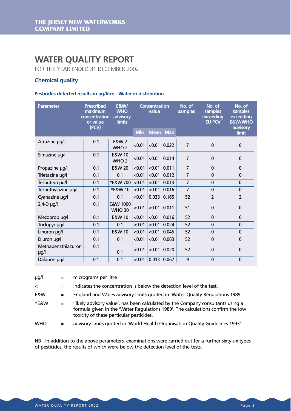### **WATER QUALITY REPORT**

FOR THE YEAR ENDED 31 DECEMBER 2002

### **Chemical quality**

#### **Pesticides detected results in µg/litre - Water in distribution**

| <b>Parameter</b>           | <b>Prescribed</b><br>maximum<br>concentration<br>or value<br>(PCV) | <b>E&amp;W/</b><br><b>WHO</b><br>advisory<br>limits |            | <b>Concentration</b><br>value |                 | No. of<br>samples | No. of<br>samples<br>exceeding<br><b>EU PCV</b> | No. of<br>samples<br>exceeding<br><b>E&amp;W/WHO</b><br>advisory |
|----------------------------|--------------------------------------------------------------------|-----------------------------------------------------|------------|-------------------------------|-----------------|-------------------|-------------------------------------------------|------------------------------------------------------------------|
|                            |                                                                    |                                                     | <b>Min</b> |                               | <b>Mean Max</b> |                   |                                                 | limit                                                            |
| Atrazine µg/l              | 0.1                                                                | <b>E&amp;W 2</b><br>WHO <sub>2</sub>                | < 0.01     |                               | $< 0.01$ 0.022  | $\overline{7}$    | $\mathbf 0$                                     | $\mathbf 0$                                                      |
| Simazine µg/l              | 0.1                                                                | E&W 10<br>WHO <sub>2</sub>                          | < 0.01     | < 0.01                        | 0.014           | $\overline{7}$    | $\mathbf 0$                                     | $\mathbf 0$                                                      |
| Propazine µg/l             | 0.1                                                                | E&W 20                                              | < 0.01     | < 0.01                        | 0.011           | $\overline{7}$    | $\mathbf{0}$                                    | $\mathbf 0$                                                      |
| Trietazine µg/l            | 0.1                                                                | 0.1                                                 | < 0.01     | < 0.01                        | 0.012           | $\overline{7}$    | $\mathbf 0$                                     | $\mathbf 0$                                                      |
| Terbutryn µg/l             | 0.1                                                                | *E&W 700                                            | < 0.01     | < 0.01                        | 0.013           | $\overline{7}$    | $\mathbf 0$                                     | $\mathbf 0$                                                      |
| Terbuthylazine µg/l        | 0.1                                                                | *E&W 10                                             | < 0.01     | < 0.01                        | 0.016           | $\overline{7}$    | $\mathbf 0$                                     | $\mathbf 0$                                                      |
| Cyanazine µg/l             | 0.1                                                                | 0.1                                                 | < 0.01     | 0.033                         | 0.165           | 52                | $\overline{2}$                                  | $\overline{2}$                                                   |
| $2,4$ -D $\mu$ g/l         | 0.1                                                                | E&W 1000<br><b>WHO 30</b>                           | < 0.01     | < 0.01                        | 0.011           | 51                | $\mathbf 0$                                     | $\mathbf 0$                                                      |
| Mecoprop µg/l              | 0.1                                                                | E&W 10                                              | < 0.01     | < 0.01                        | 0.016           | 52                | 0                                               | $\mathbf 0$                                                      |
| Triclopyr µg/l             | 0.1                                                                | 0.1                                                 | < 0.01     | < 0.01                        | 0.024           | 52                | $\mathbf 0$                                     | $\mathbf 0$                                                      |
| Linuron µg/l               | 0.1                                                                | E&W 10                                              | < 0.01     | < 0.01                        | 0.045           | 52                | 0                                               | $\mathbf 0$                                                      |
| Diuron µg/l                | 0.1                                                                | 0.1                                                 | < 0.01     | < 0.01                        | 0.063           | 52                | $\mathbf 0$                                     | $\mathbf 0$                                                      |
| Methabenzthiazuron<br>µg/l | 0.1                                                                | 0.1                                                 | < 0.01     | < 0.01                        | 0.020           | 52                | $\mathbf 0$                                     | $\mathbf 0$                                                      |
| Dalapon µg/l               | 0.1                                                                | 0.1                                                 | < 0.01     |                               | 0.013   0.067   | 9                 | $\mathbf 0$                                     | $\mathbf 0$                                                      |

| µg/l | micrograms per litre |  |
|------|----------------------|--|
|      |                      |  |

< = indicates the concentration is below the detection level of the test.

E&W = England and Wales advisory limits quoted in 'Water Quality Regulations 1989'.

\*E&W  $=$  'likely advisory value', has been calculated by the Company consultants using a formula given in the 'Water Regulations 1989'. The calculations confirm the low toxicity of these particular pesticides.

WHO = advisory limits quoted in 'World Health Organisation Quality Guidelines 1993'.

NB - In addition to the above parameters, examinations were carried out for a further sixty-six types of pesticides, the results of which were below the detection level of the tests.